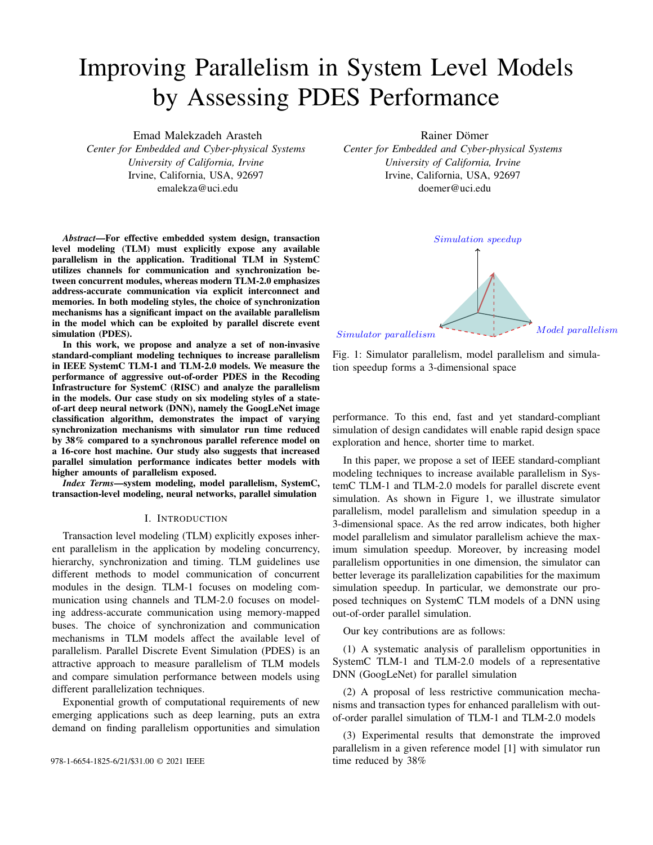# Improving Parallelism in System Level Models by Assessing PDES Performance

Emad Malekzadeh Arasteh *Center for Embedded and Cyber-physical Systems University of California, Irvine* Irvine, California, USA, 92697 emalekza@uci.edu

*Abstract*—For effective embedded system design, transaction level modeling (TLM) must explicitly expose any available parallelism in the application. Traditional TLM in SystemC utilizes channels for communication and synchronization between concurrent modules, whereas modern TLM-2.0 emphasizes address-accurate communication via explicit interconnect and memories. In both modeling styles, the choice of synchronization mechanisms has a significant impact on the available parallelism in the model which can be exploited by parallel discrete event simulation (PDES).

In this work, we propose and analyze a set of non-invasive standard-compliant modeling techniques to increase parallelism in IEEE SystemC TLM-1 and TLM-2.0 models. We measure the performance of aggressive out-of-order PDES in the Recoding Infrastructure for SystemC (RISC) and analyze the parallelism in the models. Our case study on six modeling styles of a stateof-art deep neural network (DNN), namely the GoogLeNet image classification algorithm, demonstrates the impact of varying synchronization mechanisms with simulator run time reduced by 38% compared to a synchronous parallel reference model on a 16-core host machine. Our study also suggests that increased parallel simulation performance indicates better models with higher amounts of parallelism exposed.

*Index Terms*—system modeling, model parallelism, SystemC, transaction-level modeling, neural networks, parallel simulation

#### I. INTRODUCTION

Transaction level modeling (TLM) explicitly exposes inherent parallelism in the application by modeling concurrency, hierarchy, synchronization and timing. TLM guidelines use different methods to model communication of concurrent modules in the design. TLM-1 focuses on modeling communication using channels and TLM-2.0 focuses on modeling address-accurate communication using memory-mapped buses. The choice of synchronization and communication mechanisms in TLM models affect the available level of parallelism. Parallel Discrete Event Simulation (PDES) is an attractive approach to measure parallelism of TLM models and compare simulation performance between models using different parallelization techniques.

Exponential growth of computational requirements of new emerging applications such as deep learning, puts an extra demand on finding parallelism opportunities and simulation Rainer Dömer

*Center for Embedded and Cyber-physical Systems University of California, Irvine* Irvine, California, USA, 92697 doemer@uci.edu



Fig. 1: Simulator parallelism, model parallelism and simulation speedup forms a 3-dimensional space

performance. To this end, fast and yet standard-compliant simulation of design candidates will enable rapid design space exploration and hence, shorter time to market.

In this paper, we propose a set of IEEE standard-compliant modeling techniques to increase available parallelism in SystemC TLM-1 and TLM-2.0 models for parallel discrete event simulation. As shown in Figure 1, we illustrate simulator parallelism, model parallelism and simulation speedup in a 3-dimensional space. As the red arrow indicates, both higher model parallelism and simulator parallelism achieve the maximum simulation speedup. Moreover, by increasing model parallelism opportunities in one dimension, the simulator can better leverage its parallelization capabilities for the maximum simulation speedup. In particular, we demonstrate our proposed techniques on SystemC TLM models of a DNN using out-of-order parallel simulation.

Our key contributions are as follows:

(1) A systematic analysis of parallelism opportunities in SystemC TLM-1 and TLM-2.0 models of a representative DNN (GoogLeNet) for parallel simulation

(2) A proposal of less restrictive communication mechanisms and transaction types for enhanced parallelism with outof-order parallel simulation of TLM-1 and TLM-2.0 models

(3) Experimental results that demonstrate the improved parallelism in a given reference model [1] with simulator run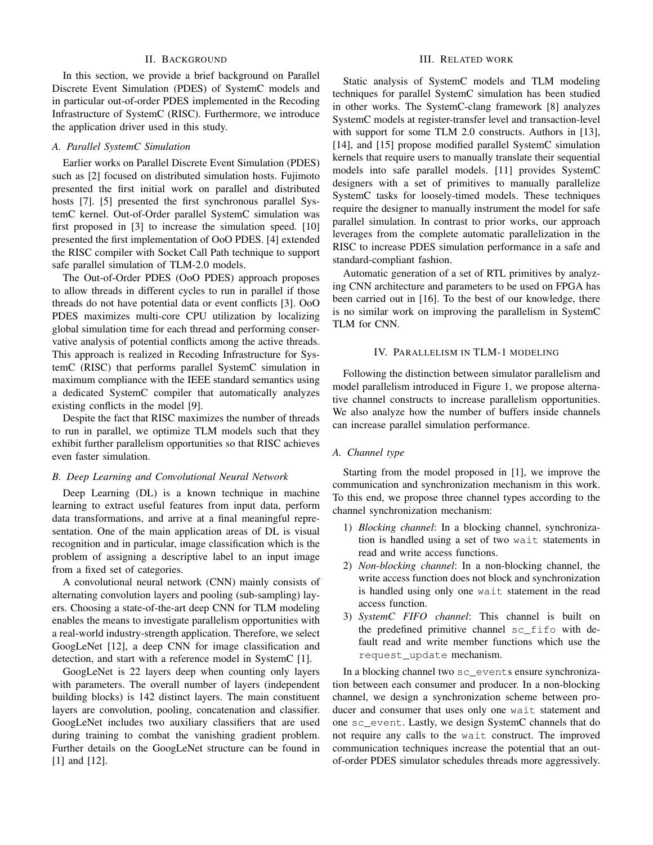## II. BACKGROUND

In this section, we provide a brief background on Parallel Discrete Event Simulation (PDES) of SystemC models and in particular out-of-order PDES implemented in the Recoding Infrastructure of SystemC (RISC). Furthermore, we introduce the application driver used in this study.

# *A. Parallel SystemC Simulation*

Earlier works on Parallel Discrete Event Simulation (PDES) such as [2] focused on distributed simulation hosts. Fujimoto presented the first initial work on parallel and distributed hosts [7]. [5] presented the first synchronous parallel SystemC kernel. Out-of-Order parallel SystemC simulation was first proposed in [3] to increase the simulation speed. [10] presented the first implementation of OoO PDES. [4] extended the RISC compiler with Socket Call Path technique to support safe parallel simulation of TLM-2.0 models.

The Out-of-Order PDES (OoO PDES) approach proposes to allow threads in different cycles to run in parallel if those threads do not have potential data or event conflicts [3]. OoO PDES maximizes multi-core CPU utilization by localizing global simulation time for each thread and performing conservative analysis of potential conflicts among the active threads. This approach is realized in Recoding Infrastructure for SystemC (RISC) that performs parallel SystemC simulation in maximum compliance with the IEEE standard semantics using a dedicated SystemC compiler that automatically analyzes existing conflicts in the model [9].

Despite the fact that RISC maximizes the number of threads to run in parallel, we optimize TLM models such that they exhibit further parallelism opportunities so that RISC achieves even faster simulation.

## *B. Deep Learning and Convolutional Neural Network*

Deep Learning (DL) is a known technique in machine learning to extract useful features from input data, perform data transformations, and arrive at a final meaningful representation. One of the main application areas of DL is visual recognition and in particular, image classification which is the problem of assigning a descriptive label to an input image from a fixed set of categories.

A convolutional neural network (CNN) mainly consists of alternating convolution layers and pooling (sub-sampling) layers. Choosing a state-of-the-art deep CNN for TLM modeling enables the means to investigate parallelism opportunities with a real-world industry-strength application. Therefore, we select GoogLeNet [12], a deep CNN for image classification and detection, and start with a reference model in SystemC [1].

GoogLeNet is 22 layers deep when counting only layers with parameters. The overall number of layers (independent building blocks) is 142 distinct layers. The main constituent layers are convolution, pooling, concatenation and classifier. GoogLeNet includes two auxiliary classifiers that are used during training to combat the vanishing gradient problem. Further details on the GoogLeNet structure can be found in [1] and [12].

## III. RELATED WORK

Static analysis of SystemC models and TLM modeling techniques for parallel SystemC simulation has been studied in other works. The SystemC-clang framework [8] analyzes SystemC models at register-transfer level and transaction-level with support for some TLM 2.0 constructs. Authors in [13], [14], and [15] propose modified parallel SystemC simulation kernels that require users to manually translate their sequential models into safe parallel models. [11] provides SystemC designers with a set of primitives to manually parallelize SystemC tasks for loosely-timed models. These techniques require the designer to manually instrument the model for safe parallel simulation. In contrast to prior works, our approach leverages from the complete automatic parallelization in the RISC to increase PDES simulation performance in a safe and standard-compliant fashion.

Automatic generation of a set of RTL primitives by analyzing CNN architecture and parameters to be used on FPGA has been carried out in [16]. To the best of our knowledge, there is no similar work on improving the parallelism in SystemC TLM for CNN.

## IV. PARALLELISM IN TLM-1 MODELING

Following the distinction between simulator parallelism and model parallelism introduced in Figure 1, we propose alternative channel constructs to increase parallelism opportunities. We also analyze how the number of buffers inside channels can increase parallel simulation performance.

#### *A. Channel type*

Starting from the model proposed in [1], we improve the communication and synchronization mechanism in this work. To this end, we propose three channel types according to the channel synchronization mechanism:

- 1) *Blocking channel*: In a blocking channel, synchronization is handled using a set of two wait statements in read and write access functions.
- 2) *Non-blocking channel*: In a non-blocking channel, the write access function does not block and synchronization is handled using only one wait statement in the read access function.
- 3) *SystemC FIFO channel*: This channel is built on the predefined primitive channel sc\_fifo with default read and write member functions which use the request\_update mechanism.

In a blocking channel two sc\_events ensure synchronization between each consumer and producer. In a non-blocking channel, we design a synchronization scheme between producer and consumer that uses only one wait statement and one sc\_event. Lastly, we design SystemC channels that do not require any calls to the wait construct. The improved communication techniques increase the potential that an outof-order PDES simulator schedules threads more aggressively.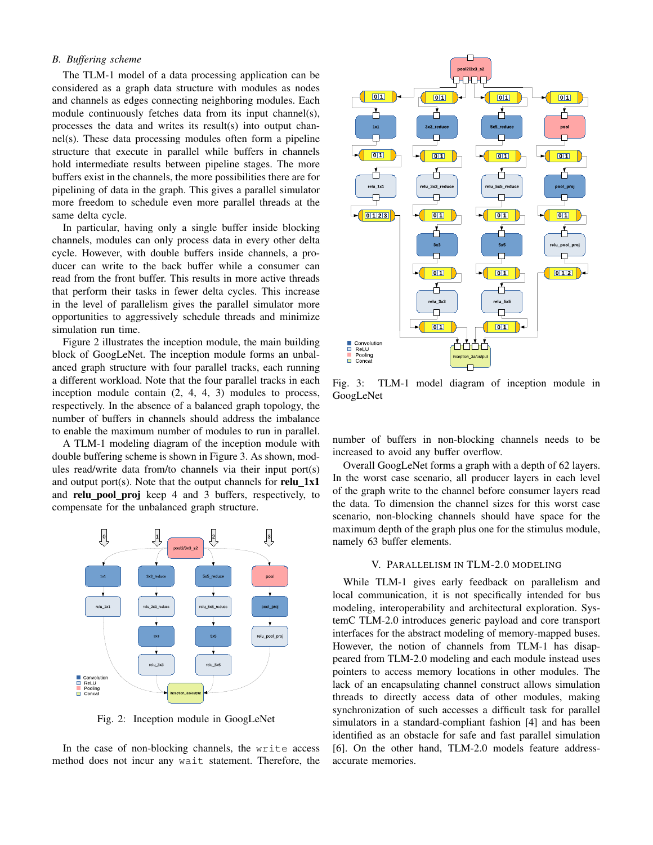## *B. Buffering scheme*

The TLM-1 model of a data processing application can be considered as a graph data structure with modules as nodes and channels as edges connecting neighboring modules. Each module continuously fetches data from its input channel(s), processes the data and writes its result(s) into output channel(s). These data processing modules often form a pipeline structure that execute in parallel while buffers in channels hold intermediate results between pipeline stages. The more buffers exist in the channels, the more possibilities there are for pipelining of data in the graph. This gives a parallel simulator more freedom to schedule even more parallel threads at the same delta cycle.

In particular, having only a single buffer inside blocking channels, modules can only process data in every other delta cycle. However, with double buffers inside channels, a producer can write to the back buffer while a consumer can read from the front buffer. This results in more active threads that perform their tasks in fewer delta cycles. This increase in the level of parallelism gives the parallel simulator more opportunities to aggressively schedule threads and minimize simulation run time.

Figure 2 illustrates the inception module, the main building block of GoogLeNet. The inception module forms an unbalanced graph structure with four parallel tracks, each running a different workload. Note that the four parallel tracks in each inception module contain (2, 4, 4, 3) modules to process, respectively. In the absence of a balanced graph topology, the number of buffers in channels should address the imbalance to enable the maximum number of modules to run in parallel.

A TLM-1 modeling diagram of the inception module with double buffering scheme is shown in Figure 3. As shown, modules read/write data from/to channels via their input port(s) and output port(s). Note that the output channels for  $relu_1x1$ and relu pool proj keep 4 and 3 buffers, respectively, to compensate for the unbalanced graph structure.



Fig. 2: Inception module in GoogLeNet

In the case of non-blocking channels, the write access method does not incur any wait statement. Therefore, the



Fig. 3: TLM-1 model diagram of inception module in GoogLeNet

number of buffers in non-blocking channels needs to be increased to avoid any buffer overflow.

Overall GoogLeNet forms a graph with a depth of 62 layers. In the worst case scenario, all producer layers in each level of the graph write to the channel before consumer layers read the data. To dimension the channel sizes for this worst case scenario, non-blocking channels should have space for the maximum depth of the graph plus one for the stimulus module, namely 63 buffer elements.

## V. PARALLELISM IN TLM-2.0 MODELING

While TLM-1 gives early feedback on parallelism and local communication, it is not specifically intended for bus modeling, interoperability and architectural exploration. SystemC TLM-2.0 introduces generic payload and core transport interfaces for the abstract modeling of memory-mapped buses. However, the notion of channels from TLM-1 has disappeared from TLM-2.0 modeling and each module instead uses pointers to access memory locations in other modules. The lack of an encapsulating channel construct allows simulation threads to directly access data of other modules, making synchronization of such accesses a difficult task for parallel simulators in a standard-compliant fashion [4] and has been identified as an obstacle for safe and fast parallel simulation [6]. On the other hand, TLM-2.0 models feature addressaccurate memories.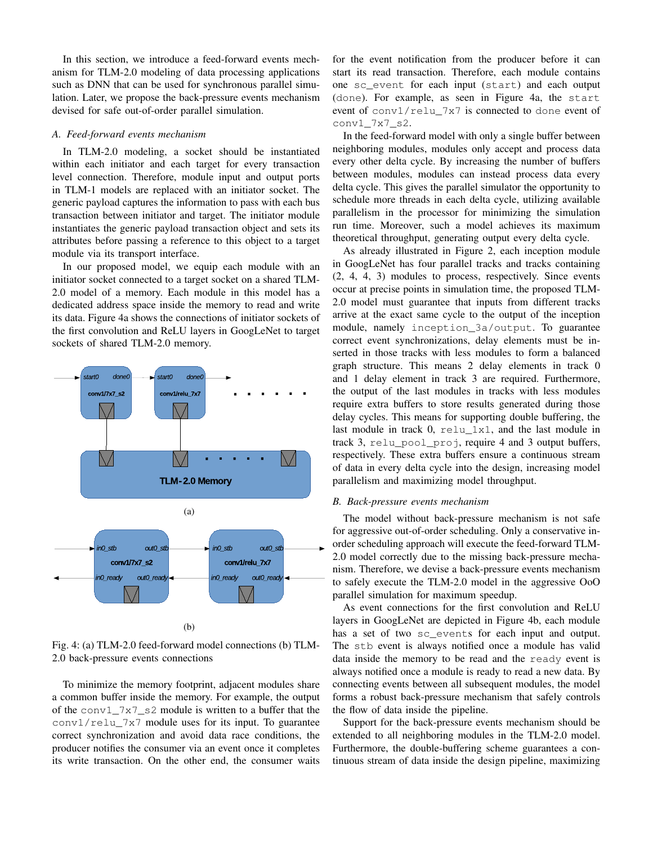In this section, we introduce a feed-forward events mechanism for TLM-2.0 modeling of data processing applications such as DNN that can be used for synchronous parallel simulation. Later, we propose the back-pressure events mechanism devised for safe out-of-order parallel simulation.

## *A. Feed-forward events mechanism*

In TLM-2.0 modeling, a socket should be instantiated within each initiator and each target for every transaction level connection. Therefore, module input and output ports in TLM-1 models are replaced with an initiator socket. The generic payload captures the information to pass with each bus transaction between initiator and target. The initiator module instantiates the generic payload transaction object and sets its attributes before passing a reference to this object to a target module via its transport interface.

In our proposed model, we equip each module with an initiator socket connected to a target socket on a shared TLM-2.0 model of a memory. Each module in this model has a dedicated address space inside the memory to read and write its data. Figure 4a shows the connections of initiator sockets of the first convolution and ReLU layers in GoogLeNet to target sockets of shared TLM-2.0 memory.



Fig. 4: (a) TLM-2.0 feed-forward model connections (b) TLM-2.0 back-pressure events connections

To minimize the memory footprint, adjacent modules share a common buffer inside the memory. For example, the output of the conv1\_7x7\_s2 module is written to a buffer that the  $conv1/relu_7x7$  module uses for its input. To guarantee correct synchronization and avoid data race conditions, the producer notifies the consumer via an event once it completes its write transaction. On the other end, the consumer waits for the event notification from the producer before it can start its read transaction. Therefore, each module contains one sc\_event for each input (start) and each output (done). For example, as seen in Figure 4a, the start event of conv1/relu\_7x7 is connected to done event of conv1\_7x7\_s2.

In the feed-forward model with only a single buffer between neighboring modules, modules only accept and process data every other delta cycle. By increasing the number of buffers between modules, modules can instead process data every delta cycle. This gives the parallel simulator the opportunity to schedule more threads in each delta cycle, utilizing available parallelism in the processor for minimizing the simulation run time. Moreover, such a model achieves its maximum theoretical throughput, generating output every delta cycle.

As already illustrated in Figure 2, each inception module in GoogLeNet has four parallel tracks and tracks containing (2, 4, 4, 3) modules to process, respectively. Since events occur at precise points in simulation time, the proposed TLM-2.0 model must guarantee that inputs from different tracks arrive at the exact same cycle to the output of the inception module, namely inception\_3a/output. To guarantee correct event synchronizations, delay elements must be inserted in those tracks with less modules to form a balanced graph structure. This means 2 delay elements in track 0 and 1 delay element in track 3 are required. Furthermore, the output of the last modules in tracks with less modules require extra buffers to store results generated during those delay cycles. This means for supporting double buffering, the last module in track  $0$ , relu 1x1, and the last module in track 3, relu\_pool\_proj, require 4 and 3 output buffers, respectively. These extra buffers ensure a continuous stream of data in every delta cycle into the design, increasing model parallelism and maximizing model throughput.

#### *B. Back-pressure events mechanism*

The model without back-pressure mechanism is not safe for aggressive out-of-order scheduling. Only a conservative inorder scheduling approach will execute the feed-forward TLM-2.0 model correctly due to the missing back-pressure mechanism. Therefore, we devise a back-pressure events mechanism to safely execute the TLM-2.0 model in the aggressive OoO parallel simulation for maximum speedup.

As event connections for the first convolution and ReLU layers in GoogLeNet are depicted in Figure 4b, each module has a set of two sc\_events for each input and output. The stb event is always notified once a module has valid data inside the memory to be read and the ready event is always notified once a module is ready to read a new data. By connecting events between all subsequent modules, the model forms a robust back-pressure mechanism that safely controls the flow of data inside the pipeline.

Support for the back-pressure events mechanism should be extended to all neighboring modules in the TLM-2.0 model. Furthermore, the double-buffering scheme guarantees a continuous stream of data inside the design pipeline, maximizing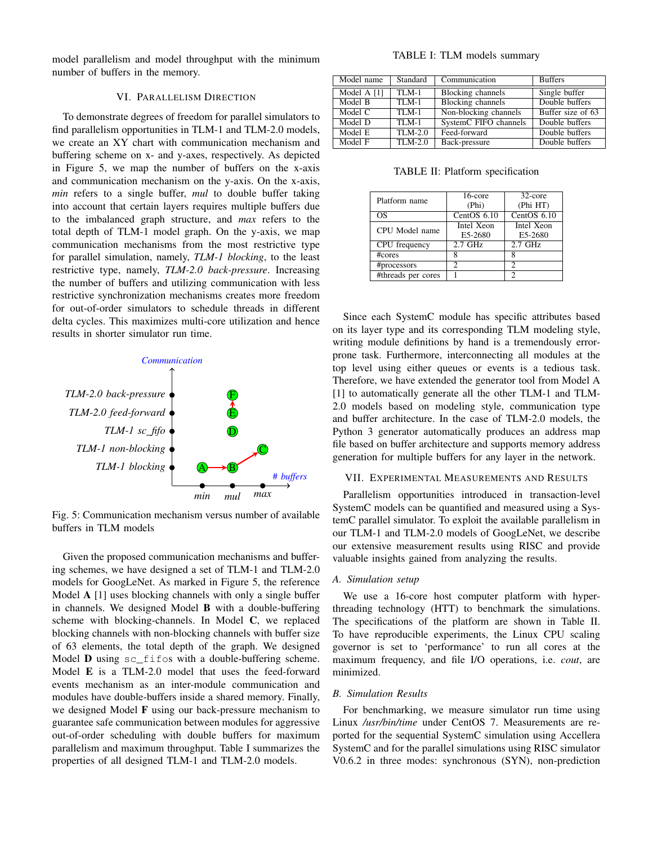model parallelism and model throughput with the minimum number of buffers in the memory.

#### VI. PARALLELISM DIRECTION

To demonstrate degrees of freedom for parallel simulators to find parallelism opportunities in TLM-1 and TLM-2.0 models, we create an XY chart with communication mechanism and buffering scheme on x- and y-axes, respectively. As depicted in Figure 5, we map the number of buffers on the x-axis and communication mechanism on the y-axis. On the x-axis, *min* refers to a single buffer, *mul* to double buffer taking into account that certain layers requires multiple buffers due to the imbalanced graph structure, and *max* refers to the total depth of TLM-1 model graph. On the y-axis, we map communication mechanisms from the most restrictive type for parallel simulation, namely, *TLM-1 blocking*, to the least restrictive type, namely, *TLM-2.0 back-pressure*. Increasing the number of buffers and utilizing communication with less restrictive synchronization mechanisms creates more freedom for out-of-order simulators to schedule threads in different delta cycles. This maximizes multi-core utilization and hence results in shorter simulator run time.



Fig. 5: Communication mechanism versus number of available buffers in TLM models

Given the proposed communication mechanisms and buffering schemes, we have designed a set of TLM-1 and TLM-2.0 models for GoogLeNet. As marked in Figure 5, the reference Model A [1] uses blocking channels with only a single buffer in channels. We designed Model B with a double-buffering scheme with blocking-channels. In Model C, we replaced blocking channels with non-blocking channels with buffer size of 63 elements, the total depth of the graph. We designed Model **D** using  $\text{sc}$  fifos with a double-buffering scheme. Model E is a TLM-2.0 model that uses the feed-forward events mechanism as an inter-module communication and modules have double-buffers inside a shared memory. Finally, we designed Model F using our back-pressure mechanism to guarantee safe communication between modules for aggressive out-of-order scheduling with double buffers for maximum parallelism and maximum throughput. Table I summarizes the properties of all designed TLM-1 and TLM-2.0 models.

#### TABLE I: TLM models summary

| Model name  | Standard  | Communication            | <b>Buffers</b>    |
|-------------|-----------|--------------------------|-------------------|
| Model A [1] | TLM-1     | Blocking channels        | Single buffer     |
| Model B     | $TLM-1$   | <b>Blocking channels</b> | Double buffers    |
| Model C     | $TLM-1$   | Non-blocking channels    | Buffer size of 63 |
| Model D     | $TLM-1$   | SystemC FIFO channels    | Double buffers    |
| Model E     | $TLM-2.0$ | Feed-forward             | Double buffers    |
| Model F     | $TLM-2.0$ | Back-pressure            | Double buffers    |

TABLE II: Platform specification

| Platform name      | $16$ -core<br>(Phi)   | 32-core<br>(Phi HT)   |
|--------------------|-----------------------|-----------------------|
| OS                 | CentOS 6.10           | CentOS 6.10           |
| CPU Model name     | Intel Xeon<br>E5-2680 | Intel Xeon<br>E5-2680 |
| CPU frequency      | $2.7$ GHz             | $2.7$ GHz             |
| #cores             |                       |                       |
| #processors        | っ                     | っ                     |
| #threads per cores |                       | っ                     |

Since each SystemC module has specific attributes based on its layer type and its corresponding TLM modeling style, writing module definitions by hand is a tremendously errorprone task. Furthermore, interconnecting all modules at the top level using either queues or events is a tedious task. Therefore, we have extended the generator tool from Model A [1] to automatically generate all the other TLM-1 and TLM-2.0 models based on modeling style, communication type and buffer architecture. In the case of TLM-2.0 models, the Python 3 generator automatically produces an address map file based on buffer architecture and supports memory address generation for multiple buffers for any layer in the network.

#### VII. EXPERIMENTAL MEASUREMENTS AND RESULTS

Parallelism opportunities introduced in transaction-level SystemC models can be quantified and measured using a SystemC parallel simulator. To exploit the available parallelism in our TLM-1 and TLM-2.0 models of GoogLeNet, we describe our extensive measurement results using RISC and provide valuable insights gained from analyzing the results.

#### *A. Simulation setup*

We use a 16-core host computer platform with hyperthreading technology (HTT) to benchmark the simulations. The specifications of the platform are shown in Table II. To have reproducible experiments, the Linux CPU scaling governor is set to 'performance' to run all cores at the maximum frequency, and file I/O operations, i.e. *cout*, are minimized.

## *B. Simulation Results*

For benchmarking, we measure simulator run time using Linux */usr/bin/time* under CentOS 7. Measurements are reported for the sequential SystemC simulation using Accellera SystemC and for the parallel simulations using RISC simulator V0.6.2 in three modes: synchronous (SYN), non-prediction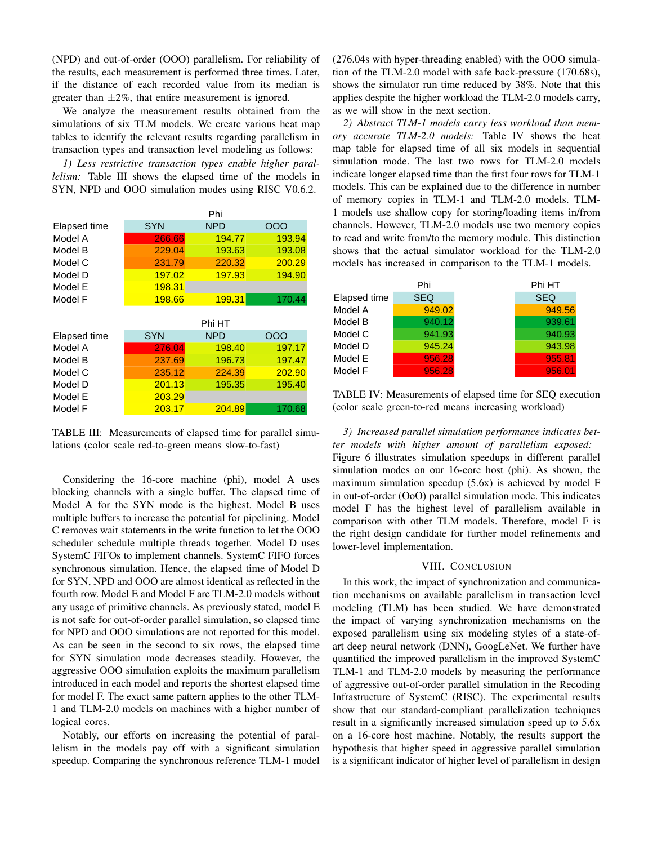(NPD) and out-of-order (OOO) parallelism. For reliability of the results, each measurement is performed three times. Later, if the distance of each recorded value from its median is greater than  $\pm 2\%$ , that entire measurement is ignored.

We analyze the measurement results obtained from the simulations of six TLM models. We create various heat map tables to identify the relevant results regarding parallelism in transaction types and transaction level modeling as follows:

*1) Less restrictive transaction types enable higher parallelism:* Table III shows the elapsed time of the models in SYN, NPD and OOO simulation modes using RISC V0.6.2.

|              |            | Phi        |        |
|--------------|------------|------------|--------|
| Elapsed time | <b>SYN</b> | <b>NPD</b> | OOO    |
| Model A      | 266.66     | 194.77     | 193.94 |
| Model B      | 229.04     | 193.63     | 193.08 |
| Model C      | 231.79     | 220.32     | 200.29 |
| Model D      | 197.02     | 197.93     | 194.90 |
| Model E      | 198.31     |            |        |
| Model F      | 198.66     | 199.31     | 170.44 |
|              |            |            |        |
|              |            |            |        |
|              |            | Phi HT     |        |
| Elapsed time | <b>SYN</b> | <b>NPD</b> | OOO    |
| Model A      | 276.04     | 198.40     | 197.17 |
| Model B      | 237.69     | 196.73     | 197.47 |
| Model C      | 235.12     | 224.39     | 202.90 |
| Model D      | 201.13     | 195.35     | 195.40 |
| Model E      | 203.29     |            |        |

TABLE III: Measurements of elapsed time for parallel simulations (color scale red-to-green means slow-to-fast)

Considering the 16-core machine (phi), model A uses blocking channels with a single buffer. The elapsed time of Model A for the SYN mode is the highest. Model B uses multiple buffers to increase the potential for pipelining. Model C removes wait statements in the write function to let the OOO scheduler schedule multiple threads together. Model D uses SystemC FIFOs to implement channels. SystemC FIFO forces synchronous simulation. Hence, the elapsed time of Model D for SYN, NPD and OOO are almost identical as reflected in the fourth row. Model E and Model F are TLM-2.0 models without any usage of primitive channels. As previously stated, model E is not safe for out-of-order parallel simulation, so elapsed time for NPD and OOO simulations are not reported for this model. As can be seen in the second to six rows, the elapsed time for SYN simulation mode decreases steadily. However, the aggressive OOO simulation exploits the maximum parallelism introduced in each model and reports the shortest elapsed time for model F. The exact same pattern applies to the other TLM-1 and TLM-2.0 models on machines with a higher number of logical cores.

Notably, our efforts on increasing the potential of parallelism in the models pay off with a significant simulation speedup. Comparing the synchronous reference TLM-1 model (276.04s with hyper-threading enabled) with the OOO simulation of the TLM-2.0 model with safe back-pressure (170.68s), shows the simulator run time reduced by 38%. Note that this applies despite the higher workload the TLM-2.0 models carry, as we will show in the next section.

*2) Abstract TLM-1 models carry less workload than memory accurate TLM-2.0 models:* Table IV shows the heat map table for elapsed time of all six models in sequential simulation mode. The last two rows for TLM-2.0 models indicate longer elapsed time than the first four rows for TLM-1 models. This can be explained due to the difference in number of memory copies in TLM-1 and TLM-2.0 models. TLM-1 models use shallow copy for storing/loading items in/from channels. However, TLM-2.0 models use two memory copies to read and write from/to the memory module. This distinction shows that the actual simulator workload for the TLM-2.0 models has increased in comparison to the TLM-1 models.

|              | Phi        | Phi HT     |
|--------------|------------|------------|
| Elapsed time | <b>SEQ</b> | <b>SEQ</b> |
| Model A      | 949.02     | 949.56     |
| Model B      | 940.12     | 939.61     |
| Model C      | 941.93     | 940.93     |
| Model D      | 945.24     | 943.98     |
| Model E      | 956.28     | 955.81     |
| Model F      | 956.28     | 956.01     |

TABLE IV: Measurements of elapsed time for SEQ execution (color scale green-to-red means increasing workload)

*3) Increased parallel simulation performance indicates better models with higher amount of parallelism exposed:* Figure 6 illustrates simulation speedups in different parallel simulation modes on our 16-core host (phi). As shown, the maximum simulation speedup (5.6x) is achieved by model F in out-of-order (OoO) parallel simulation mode. This indicates model F has the highest level of parallelism available in comparison with other TLM models. Therefore, model F is the right design candidate for further model refinements and lower-level implementation.

#### VIII. CONCLUSION

In this work, the impact of synchronization and communication mechanisms on available parallelism in transaction level modeling (TLM) has been studied. We have demonstrated the impact of varying synchronization mechanisms on the exposed parallelism using six modeling styles of a state-ofart deep neural network (DNN), GoogLeNet. We further have quantified the improved parallelism in the improved SystemC TLM-1 and TLM-2.0 models by measuring the performance of aggressive out-of-order parallel simulation in the Recoding Infrastructure of SystemC (RISC). The experimental results show that our standard-compliant parallelization techniques result in a significantly increased simulation speed up to 5.6x on a 16-core host machine. Notably, the results support the hypothesis that higher speed in aggressive parallel simulation is a significant indicator of higher level of parallelism in design